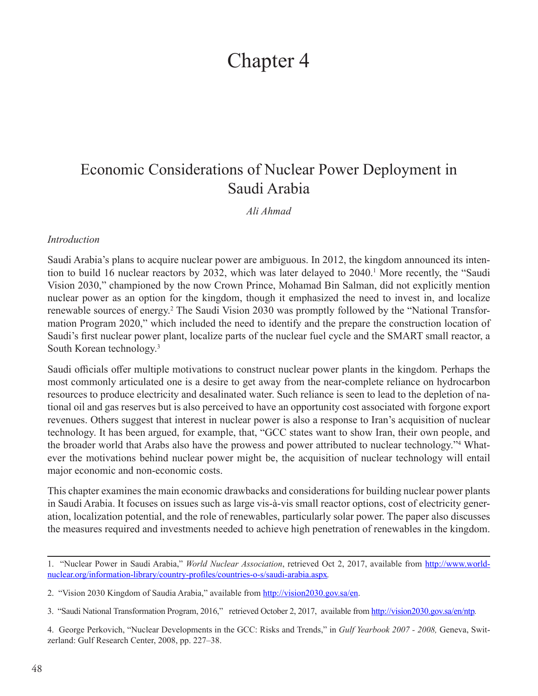# Chapter 4

## Economic Considerations of Nuclear Power Deployment in Saudi Arabia

*Ali Ahmad*

#### *Introduction*

Saudi Arabia's plans to acquire nuclear power are ambiguous. In 2012, the kingdom announced its intention to build 16 nuclear reactors by 2032, which was later delayed to 2040.<sup>1</sup> More recently, the "Saudi Vision 2030," championed by the now Crown Prince, Mohamad Bin Salman, did not explicitly mention nuclear power as an option for the kingdom, though it emphasized the need to invest in, and localize renewable sources of energy.<sup>2</sup> The Saudi Vision 2030 was promptly followed by the "National Transformation Program 2020," which included the need to identify and the prepare the construction location of Saudi's first nuclear power plant, localize parts of the nuclear fuel cycle and the SMART small reactor, a South Korean technology.3

Saudi officials offer multiple motivations to construct nuclear power plants in the kingdom. Perhaps the most commonly articulated one is a desire to get away from the near-complete reliance on hydrocarbon resources to produce electricity and desalinated water. Such reliance is seen to lead to the depletion of national oil and gas reserves but is also perceived to have an opportunity cost associated with forgone export revenues. Others suggest that interest in nuclear power is also a response to Iran's acquisition of nuclear technology. It has been argued, for example, that, "GCC states want to show Iran, their own people, and the broader world that Arabs also have the prowess and power attributed to nuclear technology."<sup>4</sup> Whatever the motivations behind nuclear power might be, the acquisition of nuclear technology will entail major economic and non-economic costs.

This chapter examines the main economic drawbacks and considerations for building nuclear power plants in Saudi Arabia. It focuses on issues such as large vis-à-vis small reactor options, cost of electricity generation, localization potential, and the role of renewables, particularly solar power. The paper also discusses the measures required and investments needed to achieve high penetration of renewables in the kingdom.

<sup>1. &</sup>quot;Nuclear Power in Saudi Arabia," *World Nuclear Association*, retrieved Oct 2, 2017, available from [http://www.world](http://www.world-nuclear.org/information-library/country-profiles/countries-o-s/saudi-arabia.aspx)[nuclear.org/information-library/country-profiles/countries-o-s/saudi-arabia.aspx](http://www.world-nuclear.org/information-library/country-profiles/countries-o-s/saudi-arabia.aspx)*.*

<sup>2. &</sup>quot;Vision 2030 Kingdom of Saudia Arabia," available from [http://vision2030.gov.sa/en.](http://vision2030.gov.sa/en)

<sup>3. &</sup>quot;Saudi National Transformation Program, 2016," retrieved October 2, 2017, available from <http://vision2030.gov.sa/en/ntp>*.*

<sup>4.</sup> George Perkovich, "Nuclear Developments in the GCC: Risks and Trends," in *Gulf Yearbook 2007 - 2008,* Geneva, Switzerland: Gulf Research Center, 2008, pp. 227–38.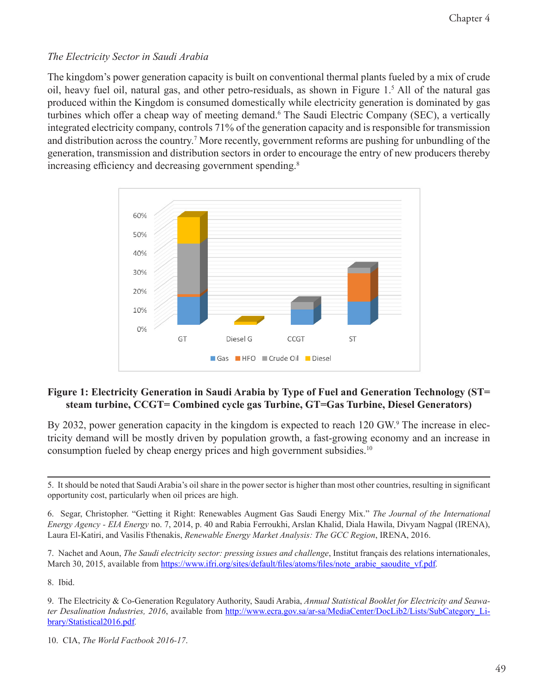#### *The Electricity Sector in Saudi Arabia*

The kingdom's power generation capacity is built on conventional thermal plants fueled by a mix of crude oil, heavy fuel oil, natural gas, and other petro-residuals, as shown in Figure 1.<sup>5</sup> All of the natural gas produced within the Kingdom is consumed domestically while electricity generation is dominated by gas turbines which offer a cheap way of meeting demand.<sup>6</sup> The Saudi Electric Company (SEC), a vertically integrated electricity company, controls 71% of the generation capacity and is responsible for transmission and distribution across the country.<sup>7</sup> More recently, government reforms are pushing for unbundling of the generation, transmission and distribution sectors in order to encourage the entry of new producers thereby increasing efficiency and decreasing government spending.<sup>8</sup>



#### **Figure 1: Electricity Generation in Saudi Arabia by Type of Fuel and Generation Technology (ST= steam turbine, CCGT= Combined cycle gas Turbine, GT=Gas Turbine, Diesel Generators)**

By 2032, power generation capacity in the kingdom is expected to reach 120 GW.<sup>9</sup> The increase in electricity demand will be mostly driven by population growth, a fast-growing economy and an increase in consumption fueled by cheap energy prices and high government subsidies.10

8. Ibid.

<sup>5.</sup> It should be noted that Saudi Arabia's oil share in the power sector is higher than most other countries, resulting in significant opportunity cost, particularly when oil prices are high.

<sup>6.</sup> Segar, Christopher. "Getting it Right: Renewables Augment Gas Saudi Energy Mix." *The Journal of the International Energy Agency - EIA Energy* no. 7, 2014, p. 40 and Rabia Ferroukhi, Arslan Khalid, Diala Hawila, Divyam Nagpal (IRENA), Laura El-Katiri, and Vasilis Fthenakis, *Renewable Energy Market Analysis: The GCC Region*, IRENA, 2016.

<sup>7.</sup> Nachet and Aoun, *The Saudi electricity sector: pressing issues and challenge*, Institut français des relations internationales, March 30, 2015, available from [https://www.ifri.org/sites/default/files/atoms/files/note\\_arabie\\_saoudite\\_vf.pdf](https://www.ifri.org/sites/default/files/atoms/files/note_arabie_saoudite_vf.pdf).

<sup>9.</sup> The Electricity & Co-Generation Regulatory Authority, Saudi Arabia, *Annual Statistical Booklet for Electricity and Seawater Desalination Industries, 2016*, available from [http://www.ecra.gov.sa/ar-sa/MediaCenter/DocLib2/Lists/SubCategory\\_Li](http://www.ecra.gov.sa/ar-sa/MediaCenter/DocLib2/Lists/SubCategory_Library/Statistical2016.pdf)[brary/Statistical2016.pdf](http://www.ecra.gov.sa/ar-sa/MediaCenter/DocLib2/Lists/SubCategory_Library/Statistical2016.pdf)*.*

<sup>10.</sup> CIA, *The World Factbook 2016-17*.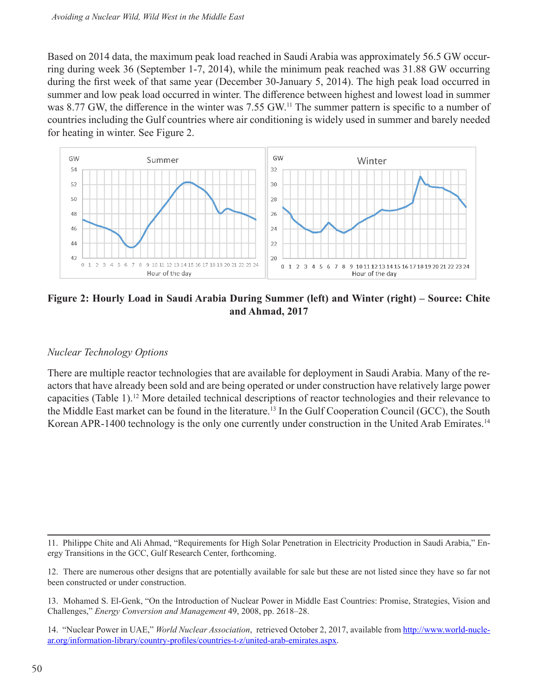Based on 2014 data, the maximum peak load reached in Saudi Arabia was approximately 56.5 GW occurring during week 36 (September 1-7, 2014), while the minimum peak reached was 31.88 GW occurring during the first week of that same year (December 30-January 5, 2014). The high peak load occurred in summer and low peak load occurred in winter. The difference between highest and lowest load in summer was 8.77 GW, the difference in the winter was 7.55 GW.<sup>11</sup> The summer pattern is specific to a number of countries including the Gulf countries where air conditioning is widely used in summer and barely needed for heating in winter. See Figure 2.



**Figure 2: Hourly Load in Saudi Arabia During Summer (left) and Winter (right) – Source: Chite and Ahmad, 2017**

#### *Nuclear Technology Options*

There are multiple reactor technologies that are available for deployment in Saudi Arabia. Many of the reactors that have already been sold and are being operated or under construction have relatively large power capacities (Table 1).12 More detailed technical descriptions of reactor technologies and their relevance to the Middle East market can be found in the literature.13 In the Gulf Cooperation Council (GCC), the South Korean APR-1400 technology is the only one currently under construction in the United Arab Emirates.<sup>14</sup>

<sup>11.</sup> Philippe Chite and Ali Ahmad, "Requirements for High Solar Penetration in Electricity Production in Saudi Arabia," Energy Transitions in the GCC, Gulf Research Center, forthcoming.

<sup>12.</sup> There are numerous other designs that are potentially available for sale but these are not listed since they have so far not been constructed or under construction.

<sup>13.</sup> Mohamed S. El-Genk, "On the Introduction of Nuclear Power in Middle East Countries: Promise, Strategies, Vision and Challenges," *Energy Conversion and Management* 49, 2008, pp. 2618–28.

<sup>14. &</sup>quot;Nuclear Power in UAE," *World Nuclear Association*, retrieved October 2, 2017, available from [http://www.world-nucle](http://www.world-nuclear.org/information-library/country-profiles/countries-t-z/united-arab-emirates.aspx)[ar.org/information-library/country-profiles/countries-t-z/united-arab-emirates.aspx](http://www.world-nuclear.org/information-library/country-profiles/countries-t-z/united-arab-emirates.aspx).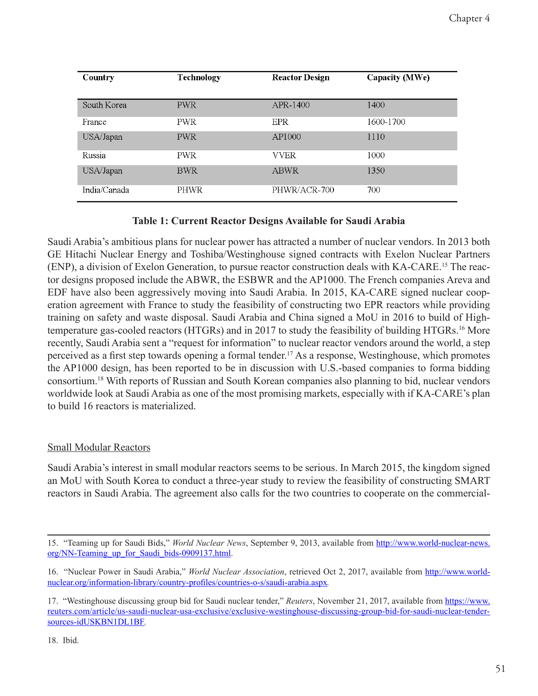| Country      | Technology  | <b>Reactor Design</b> | Capacity (MWe) |
|--------------|-------------|-----------------------|----------------|
| South Korea  | <b>PWR</b>  | APR-1400              | 1400           |
| France       | <b>PWR</b>  | <b>EPR</b>            | 1600-1700      |
| USA/Japan    | <b>PWR</b>  | AP1000                | 1110           |
| Russia       | <b>PWR</b>  | VVER.                 | 1000           |
| USA/Japan    | <b>BWR</b>  | <b>ABWR</b>           | 1350           |
| India/Canada | <b>PHWR</b> | PHWR/ACR-700          | 700            |

#### **Table 1: Current Reactor Designs Available for Saudi Arabia**

Saudi Arabia's ambitious plans for nuclear power has attracted a number of nuclear vendors. In 2013 both GE Hitachi Nuclear Energy and Toshiba/Westinghouse signed contracts with Exelon Nuclear Partners (ENP), a division of Exelon Generation, to pursue reactor construction deals with KA-CARE.15 The reactor designs proposed include the ABWR, the ESBWR and the AP1000. The French companies Areva and EDF have also been aggressively moving into Saudi Arabia. In 2015, KA-CARE signed nuclear cooperation agreement with France to study the feasibility of constructing two EPR reactors while providing training on safety and waste disposal. Saudi Arabia and China signed a MoU in 2016 to build of Hightemperature gas-cooled reactors (HTGRs) and in 2017 to study the feasibility of building HTGRs.16 More recently, Saudi Arabia sent a "request for information" to nuclear reactor vendors around the world, a step perceived as a first step towards opening a formal tender.<sup>17</sup> As a response, Westinghouse, which promotes the AP1000 design, has been reported to be in discussion with U.S.-based companies to forma bidding consortium.18 With reports of Russian and South Korean companies also planning to bid, nuclear vendors worldwide look at Saudi Arabia as one of the most promising markets, especially with if KA-CARE's plan to build 16 reactors is materialized.

#### Small Modular Reactors

Saudi Arabia's interest in small modular reactors seems to be serious. In March 2015, the kingdom signed an MoU with South Korea to conduct a three-year study to review the feasibility of constructing SMART reactors in Saudi Arabia. The agreement also calls for the two countries to cooperate on the commercial-

<sup>15. &</sup>quot;Teaming up for Saudi Bids," *World Nuclear News*, September 9, 2013, available from [http://www.world-nuclear-news.](http://www.world-nuclear-news.org/NN-Teaming_up_for_Saudi_bids-0909137.html) org/NN-Teaming up for Saudi bids-0909137.html.

<sup>16. &</sup>quot;Nuclear Power in Saudi Arabia," *World Nuclear Association*, retrieved Oct 2, 2017, available from [http://www.world](http://www.world-nuclear.org/information-library/country-profiles/countries-o-s/saudi-arabia.aspx)[nuclear.org/information-library/country-profiles/countries-o-s/saudi-arabia.aspx](http://www.world-nuclear.org/information-library/country-profiles/countries-o-s/saudi-arabia.aspx)*.*

<sup>17. &</sup>quot;Westinghouse discussing group bid for Saudi nuclear tender," *Reuters*, November 21, 2017, available from [https://www.](https://www.reuters.com/article/us-saudi-nuclear-usa-exclusive/exclusive-westinghouse-discussing-group-bid-for-saudi-nuclear-tender-sources-idUSKBN1DL1BF) [reuters.com/article/us-saudi-nuclear-usa-exclusive/exclusive-westinghouse-discussing-group-bid-for-saudi-nuclear-tender](https://www.reuters.com/article/us-saudi-nuclear-usa-exclusive/exclusive-westinghouse-discussing-group-bid-for-saudi-nuclear-tender-sources-idUSKBN1DL1BF)[sources-idUSKBN1DL1BF](https://www.reuters.com/article/us-saudi-nuclear-usa-exclusive/exclusive-westinghouse-discussing-group-bid-for-saudi-nuclear-tender-sources-idUSKBN1DL1BF)*.*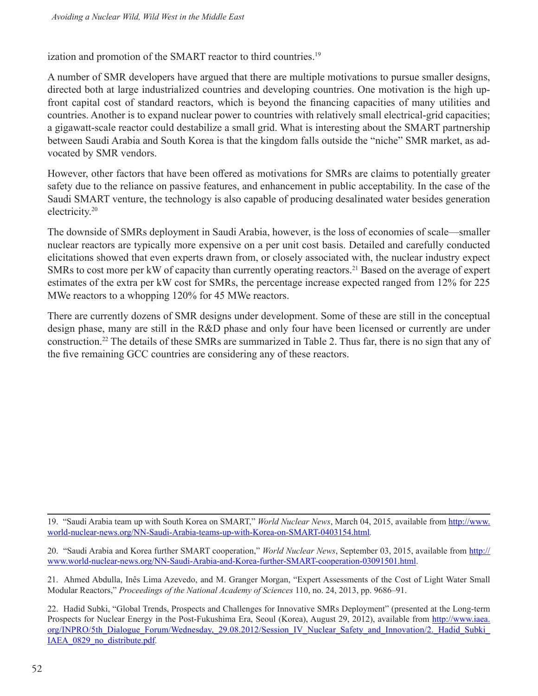ization and promotion of the SMART reactor to third countries.<sup>19</sup>

A number of SMR developers have argued that there are multiple motivations to pursue smaller designs, directed both at large industrialized countries and developing countries. One motivation is the high upfront capital cost of standard reactors, which is beyond the financing capacities of many utilities and countries. Another is to expand nuclear power to countries with relatively small electrical-grid capacities; a gigawatt-scale reactor could destabilize a small grid. What is interesting about the SMART partnership between Saudi Arabia and South Korea is that the kingdom falls outside the "niche" SMR market, as advocated by SMR vendors.

However, other factors that have been offered as motivations for SMRs are claims to potentially greater safety due to the reliance on passive features, and enhancement in public acceptability. In the case of the Saudi SMART venture, the technology is also capable of producing desalinated water besides generation electricity.20

The downside of SMRs deployment in Saudi Arabia, however, is the loss of economies of scale—smaller nuclear reactors are typically more expensive on a per unit cost basis. Detailed and carefully conducted elicitations showed that even experts drawn from, or closely associated with, the nuclear industry expect SMRs to cost more per kW of capacity than currently operating reactors.<sup>21</sup> Based on the average of expert estimates of the extra per kW cost for SMRs, the percentage increase expected ranged from 12% for 225 MWe reactors to a whopping 120% for 45 MWe reactors.

There are currently dozens of SMR designs under development. Some of these are still in the conceptual design phase, many are still in the R&D phase and only four have been licensed or currently are under construction.22 The details of these SMRs are summarized in Table 2. Thus far, there is no sign that any of the five remaining GCC countries are considering any of these reactors.

19. "Saudi Arabia team up with South Korea on SMART," *World Nuclear News*, March 04, 2015, available from [http://www.](http://www.world-nuclear-news.org/NN-Saudi-Arabia-teams-up-with-Korea-on-SMART-0403154.html) [world-nuclear-news.org/NN-Saudi-Arabia-teams-up-with-Korea-on-SMART-0403154.html](http://www.world-nuclear-news.org/NN-Saudi-Arabia-teams-up-with-Korea-on-SMART-0403154.html)*.*

20. "Saudi Arabia and Korea further SMART cooperation," *World Nuclear News*, September 03, 2015, available from [http://](http://www.world-nuclear-news.org/NN-Saudi-Arabia-and-Korea-further-SMART-cooperation-03091501.html) [www.world-nuclear-news.org/NN-Saudi-Arabia-and-Korea-further-SMART-cooperation-03091501.html.](http://www.world-nuclear-news.org/NN-Saudi-Arabia-and-Korea-further-SMART-cooperation-03091501.html)

21. Ahmed Abdulla, Inês Lima Azevedo, and M. Granger Morgan, "Expert Assessments of the Cost of Light Water Small Modular Reactors," *Proceedings of the National Academy of Sciences* 110, no. 24, 2013, pp. 9686–91.

22. Hadid Subki, "Global Trends, Prospects and Challenges for Innovative SMRs Deployment" (presented at the Long-term Prospects for Nuclear Energy in the Post-Fukushima Era, Seoul (Korea), August 29, 2012), available from [http://www.iaea.](http://www.iaea.org/INPRO/5th_Dialogue_Forum/Wednesday,_29.08.2012/Session_IV_Nuclear_Safety_and_Innovation/2._Hadid_Subki_IAEA_0829_no_distribute.pdf) [org/INPRO/5th\\_Dialogue\\_Forum/Wednesday,\\_29.08.2012/Session\\_IV\\_Nuclear\\_Safety\\_and\\_Innovation/2.\\_Hadid\\_Subki\\_](http://www.iaea.org/INPRO/5th_Dialogue_Forum/Wednesday,_29.08.2012/Session_IV_Nuclear_Safety_and_Innovation/2._Hadid_Subki_IAEA_0829_no_distribute.pdf) [IAEA\\_0829\\_no\\_distribute.pdf](http://www.iaea.org/INPRO/5th_Dialogue_Forum/Wednesday,_29.08.2012/Session_IV_Nuclear_Safety_and_Innovation/2._Hadid_Subki_IAEA_0829_no_distribute.pdf)*.*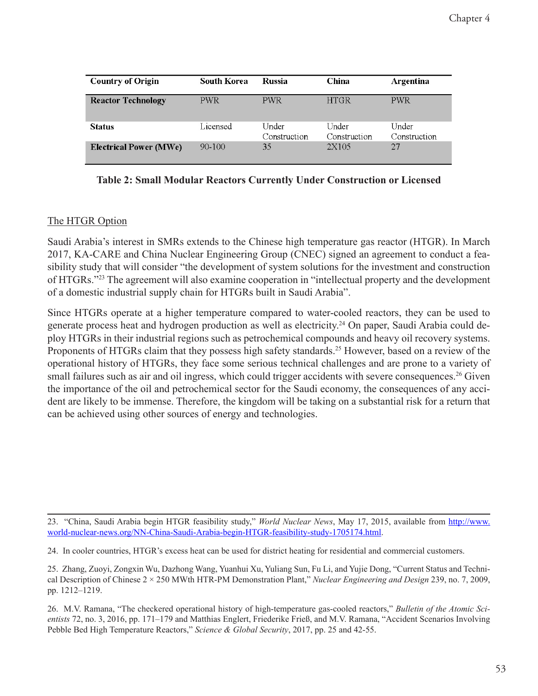| <b>Country of Origin</b>      | <b>South Korea</b> | <b>Russia</b>         | China                 | Argentina             |
|-------------------------------|--------------------|-----------------------|-----------------------|-----------------------|
| <b>Reactor Technology</b>     | PWR.               | <b>PWR</b>            | <b>HTGR</b>           | <b>PWR</b>            |
| <b>Status</b>                 | Licensed           | Under<br>Construction | Under<br>Construction | Under<br>Construction |
| <b>Electrical Power (MWe)</b> | $90-100$           | 35                    | 2X105                 | 27                    |

**Table 2: Small Modular Reactors Currently Under Construction or Licensed**

### The HTGR Option

Saudi Arabia's interest in SMRs extends to the Chinese high temperature gas reactor (HTGR). In March 2017, KA-CARE and China Nuclear Engineering Group (CNEC) signed an agreement to conduct a feasibility study that will consider "the development of system solutions for the investment and construction of HTGRs."<sup>23</sup> The agreement will also examine cooperation in "intellectual property and the development of a domestic industrial supply chain for HTGRs built in Saudi Arabia".

Since HTGRs operate at a higher temperature compared to water-cooled reactors, they can be used to generate process heat and hydrogen production as well as electricity.<sup>24</sup> On paper, Saudi Arabia could deploy HTGRs in their industrial regions such as petrochemical compounds and heavy oil recovery systems. Proponents of HTGRs claim that they possess high safety standards.<sup>25</sup> However, based on a review of the operational history of HTGRs, they face some serious technical challenges and are prone to a variety of small failures such as air and oil ingress, which could trigger accidents with severe consequences.<sup>26</sup> Given the importance of the oil and petrochemical sector for the Saudi economy, the consequences of any accident are likely to be immense. Therefore, the kingdom will be taking on a substantial risk for a return that can be achieved using other sources of energy and technologies.

<sup>23. &</sup>quot;China, Saudi Arabia begin HTGR feasibility study," *World Nuclear News*, May 17, 2015, available from [http://www.](http://www.world-nuclear-news.org/NN-China-Saudi-Arabia-begin-HTGR-feasibility-study-1705174.html) [world-nuclear-news.org/NN-China-Saudi-Arabia-begin-HTGR-feasibility-study-1705174.html](http://www.world-nuclear-news.org/NN-China-Saudi-Arabia-begin-HTGR-feasibility-study-1705174.html).

<sup>24.</sup> In cooler countries, HTGR's excess heat can be used for district heating for residential and commercial customers.

<sup>25.</sup> Zhang, Zuoyi, Zongxin Wu, Dazhong Wang, Yuanhui Xu, Yuliang Sun, Fu Li, and Yujie Dong, "Current Status and Technical Description of Chinese 2 × 250 MWth HTR-PM Demonstration Plant," *Nuclear Engineering and Design* 239, no. 7, 2009, pp. 1212–1219.

<sup>26.</sup> M.V. Ramana, "The checkered operational history of high-temperature gas-cooled reactors," *Bulletin of the Atomic Scientists* 72, no. 3, 2016, pp. 171–179 and Matthias Englert, Friederike Frieß, and M.V. Ramana, "Accident Scenarios Involving Pebble Bed High Temperature Reactors," *Science & Global Security*, 2017, pp. 25 and 42-55.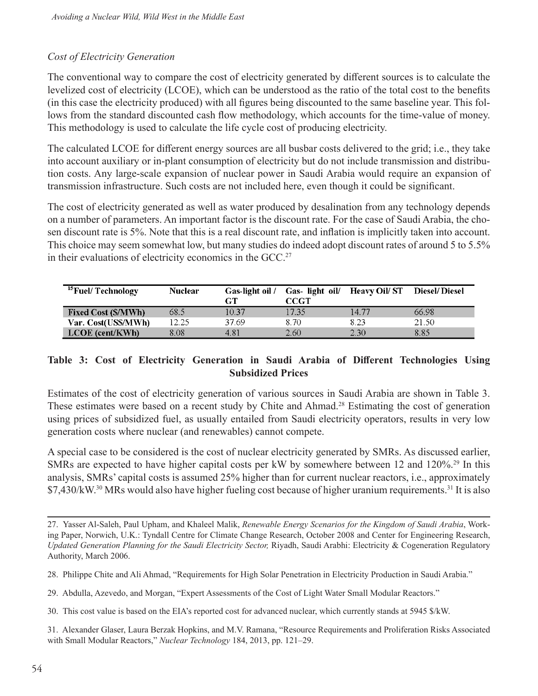#### *Cost of Electricity Generation*

The conventional way to compare the cost of electricity generated by different sources is to calculate the levelized cost of electricity (LCOE), which can be understood as the ratio of the total cost to the benefits (in this case the electricity produced) with all figures being discounted to the same baseline year. This follows from the standard discounted cash flow methodology, which accounts for the time-value of money. This methodology is used to calculate the life cycle cost of producing electricity.

The calculated LCOE for different energy sources are all busbar costs delivered to the grid; i.e., they take into account auxiliary or in-plant consumption of electricity but do not include transmission and distribution costs. Any large-scale expansion of nuclear power in Saudi Arabia would require an expansion of transmission infrastructure. Such costs are not included here, even though it could be significant.

The cost of electricity generated as well as water produced by desalination from any technology depends on a number of parameters. An important factor is the discount rate. For the case of Saudi Arabia, the chosen discount rate is 5%. Note that this is a real discount rate, and inflation is implicitly taken into account. This choice may seem somewhat low, but many studies do indeed adopt discount rates of around 5 to 5.5% in their evaluations of electricity economics in the GCC.<sup>27</sup>

| <sup>15</sup> Fuel/Technology | <b>Nuclear</b> | Gas-light oil / |       | Gas- light oil/ Heavy Oil/ST Diesel/Diesel |       |
|-------------------------------|----------------|-----------------|-------|--------------------------------------------|-------|
|                               |                | GT              | CCGT  |                                            |       |
| <b>Fixed Cost (\$/MWh)</b>    | 68.5           | 10.37           | 17.35 | 14.77                                      | 66.98 |
| Var. Cost(US\$/MWh)           | 12.25          | 37.69           | 8.70  | 8.23                                       | 21.50 |
| LCOE (cent/KWh)               | 8.08           | 4.81            | 2.60  | 2.30                                       | 8.85  |

#### **Table 3: Cost of Electricity Generation in Saudi Arabia of Different Technologies Using Subsidized Prices**

Estimates of the cost of electricity generation of various sources in Saudi Arabia are shown in Table 3. These estimates were based on a recent study by Chite and Ahmad.<sup>28</sup> Estimating the cost of generation using prices of subsidized fuel, as usually entailed from Saudi electricity operators, results in very low generation costs where nuclear (and renewables) cannot compete.

A special case to be considered is the cost of nuclear electricity generated by SMRs. As discussed earlier, SMRs are expected to have higher capital costs per kW by somewhere between 12 and 120%.<sup>29</sup> In this analysis, SMRs' capital costs is assumed 25% higher than for current nuclear reactors, i.e., approximately \$7,430/kW.<sup>30</sup> MRs would also have higher fueling cost because of higher uranium requirements.<sup>31</sup> It is also

<sup>27.</sup> Yasser Al-Saleh, Paul Upham, and Khaleel Malik, *Renewable Energy Scenarios for the Kingdom of Saudi Arabia*, Working Paper, Norwich, U.K.: Tyndall Centre for Climate Change Research, October 2008 and Center for Engineering Research, *Updated Generation Planning for the Saudi Electricity Sector,* Riyadh, Saudi Arabhi: Electricity & Cogeneration Regulatory Authority, March 2006.

<sup>28.</sup> Philippe Chite and Ali Ahmad, "Requirements for High Solar Penetration in Electricity Production in Saudi Arabia."

<sup>29.</sup> Abdulla, Azevedo, and Morgan, "Expert Assessments of the Cost of Light Water Small Modular Reactors."

<sup>30.</sup> This cost value is based on the EIA's reported cost for advanced nuclear, which currently stands at 5945 \$/kW.

<sup>31.</sup> Alexander Glaser, Laura Berzak Hopkins, and M.V. Ramana, "Resource Requirements and Proliferation Risks Associated with Small Modular Reactors," *Nuclear Technology* 184, 2013, pp. 121–29.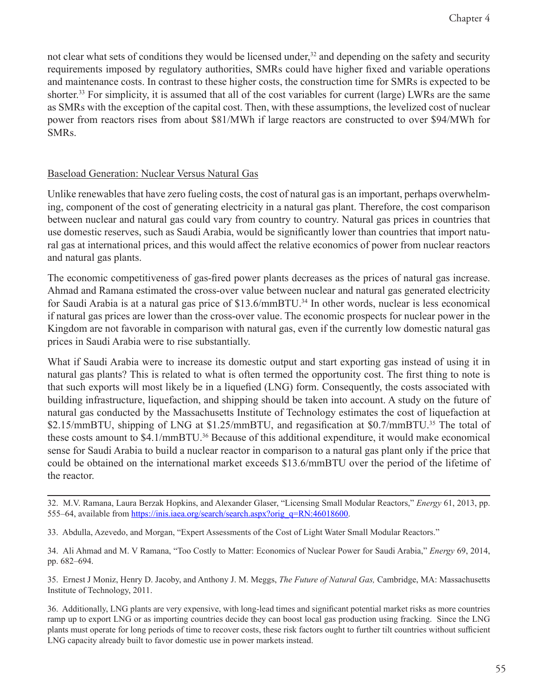not clear what sets of conditions they would be licensed under,<sup>32</sup> and depending on the safety and security requirements imposed by regulatory authorities, SMRs could have higher fixed and variable operations and maintenance costs. In contrast to these higher costs, the construction time for SMRs is expected to be shorter.33 For simplicity, it is assumed that all of the cost variables for current (large) LWRs are the same as SMRs with the exception of the capital cost. Then, with these assumptions, the levelized cost of nuclear power from reactors rises from about \$81/MWh if large reactors are constructed to over \$94/MWh for SMRs.

#### Baseload Generation: Nuclear Versus Natural Gas

Unlike renewables that have zero fueling costs, the cost of natural gas is an important, perhaps overwhelming, component of the cost of generating electricity in a natural gas plant. Therefore, the cost comparison between nuclear and natural gas could vary from country to country. Natural gas prices in countries that use domestic reserves, such as Saudi Arabia, would be significantly lower than countries that import natural gas at international prices, and this would affect the relative economics of power from nuclear reactors and natural gas plants.

The economic competitiveness of gas-fired power plants decreases as the prices of natural gas increase. Ahmad and Ramana estimated the cross-over value between nuclear and natural gas generated electricity for Saudi Arabia is at a natural gas price of \$13.6/mmBTU.<sup>34</sup> In other words, nuclear is less economical if natural gas prices are lower than the cross-over value. The economic prospects for nuclear power in the Kingdom are not favorable in comparison with natural gas, even if the currently low domestic natural gas prices in Saudi Arabia were to rise substantially.

What if Saudi Arabia were to increase its domestic output and start exporting gas instead of using it in natural gas plants? This is related to what is often termed the opportunity cost. The first thing to note is that such exports will most likely be in a liquefied (LNG) form. Consequently, the costs associated with building infrastructure, liquefaction, and shipping should be taken into account. A study on the future of natural gas conducted by the Massachusetts Institute of Technology estimates the cost of liquefaction at \$2.15/mmBTU, shipping of LNG at \$1.25/mmBTU, and regasification at \$0.7/mmBTU.<sup>35</sup> The total of these costs amount to \$4.1/mmBTU.<sup>36</sup> Because of this additional expenditure, it would make economical sense for Saudi Arabia to build a nuclear reactor in comparison to a natural gas plant only if the price that could be obtained on the international market exceeds \$13.6/mmBTU over the period of the lifetime of the reactor.

35. Ernest J Moniz, Henry D. Jacoby, and Anthony J. M. Meggs, *The Future of Natural Gas,* Cambridge, MA: Massachusetts Institute of Technology, 2011.

<sup>32.</sup> M.V. Ramana, Laura Berzak Hopkins, and Alexander Glaser, "Licensing Small Modular Reactors," *Energy* 61, 2013, pp. 555–64, available from [https://inis.iaea.org/search/search.aspx?orig\\_q=RN:46018600](https://inis.iaea.org/search/search.aspx?orig_q=RN:46018600).

<sup>33.</sup> Abdulla, Azevedo, and Morgan, "Expert Assessments of the Cost of Light Water Small Modular Reactors."

<sup>34.</sup> Ali Ahmad and M. V Ramana, "Too Costly to Matter: Economics of Nuclear Power for Saudi Arabia," *Energy* 69, 2014, pp. 682–694.

<sup>36.</sup> Additionally, LNG plants are very expensive, with long-lead times and significant potential market risks as more countries ramp up to export LNG or as importing countries decide they can boost local gas production using fracking. Since the LNG plants must operate for long periods of time to recover costs, these risk factors ought to further tilt countries without sufficient LNG capacity already built to favor domestic use in power markets instead.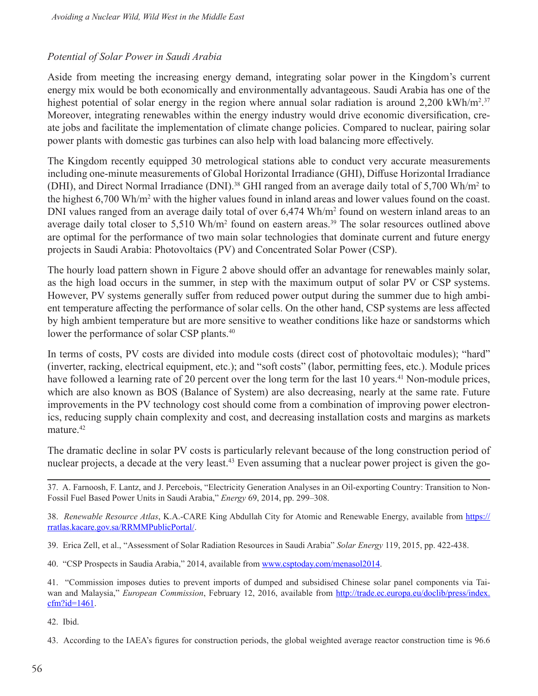#### *Potential of Solar Power in Saudi Arabia*

Aside from meeting the increasing energy demand, integrating solar power in the Kingdom's current energy mix would be both economically and environmentally advantageous. Saudi Arabia has one of the highest potential of solar energy in the region where annual solar radiation is around 2,200 kWh/m<sup>2,37</sup> Moreover, integrating renewables within the energy industry would drive economic diversification, create jobs and facilitate the implementation of climate change policies. Compared to nuclear, pairing solar power plants with domestic gas turbines can also help with load balancing more effectively.

The Kingdom recently equipped 30 metrological stations able to conduct very accurate measurements including one-minute measurements of Global Horizontal Irradiance (GHI), Diffuse Horizontal Irradiance (DHI), and Direct Normal Irradiance (DNI).<sup>38</sup> GHI ranged from an average daily total of 5,700 Wh/m<sup>2</sup> to the highest 6,700 Wh/m<sup>2</sup> with the higher values found in inland areas and lower values found on the coast. DNI values ranged from an average daily total of over 6,474 Wh/m<sup>2</sup> found on western inland areas to an average daily total closer to  $5{,}510 \text{ Wh/m}^2$  found on eastern areas.<sup>39</sup> The solar resources outlined above are optimal for the performance of two main solar technologies that dominate current and future energy projects in Saudi Arabia: Photovoltaics (PV) and Concentrated Solar Power (CSP).

The hourly load pattern shown in Figure 2 above should offer an advantage for renewables mainly solar, as the high load occurs in the summer, in step with the maximum output of solar PV or CSP systems. However, PV systems generally suffer from reduced power output during the summer due to high ambient temperature affecting the performance of solar cells. On the other hand, CSP systems are less affected by high ambient temperature but are more sensitive to weather conditions like haze or sandstorms which lower the performance of solar CSP plants.<sup>40</sup>

In terms of costs, PV costs are divided into module costs (direct cost of photovoltaic modules); "hard" (inverter, racking, electrical equipment, etc.); and "soft costs" (labor, permitting fees, etc.). Module prices have followed a learning rate of 20 percent over the long term for the last 10 years.<sup>41</sup> Non-module prices, which are also known as BOS (Balance of System) are also decreasing, nearly at the same rate. Future improvements in the PV technology cost should come from a combination of improving power electronics, reducing supply chain complexity and cost, and decreasing installation costs and margins as markets mature.<sup>42</sup>

The dramatic decline in solar PV costs is particularly relevant because of the long construction period of nuclear projects, a decade at the very least.<sup>43</sup> Even assuming that a nuclear power project is given the go-

37. A. Farnoosh, F. Lantz, and J. Percebois, "Electricity Generation Analyses in an Oil-exporting Country: Transition to Non-Fossil Fuel Based Power Units in Saudi Arabia," *Energy* 69, 2014, pp. 299–308.

38. *Renewable Resource Atlas*, K.A.-CARE King Abdullah City for Atomic and Renewable Energy, available from [https://](https://rratlas.kacare.gov.sa/RRMMPublicPortal/) [rratlas.kacare.gov.sa/RRMMPublicPortal/](https://rratlas.kacare.gov.sa/RRMMPublicPortal/).

39. Erica Zell, et al., "Assessment of Solar Radiation Resources in Saudi Arabia" *Solar Energy* 119, 2015, pp. 422-438.

40. "CSP Prospects in Saudia Arabia," 2014, available from [www.csptoday.com/menasol2014.](www.csptoday.com/menasol2014)

41. "Commission imposes duties to prevent imports of dumped and subsidised Chinese solar panel components via Taiwan and Malaysia," *European Commission*, February 12, 2016, available from [http://trade.ec.europa.eu/doclib/press/index.](http://trade.ec.europa.eu/doclib/press/index.cfm?id=1461) [cfm?id=1461](http://trade.ec.europa.eu/doclib/press/index.cfm?id=1461).

42. Ibid.

43. According to the IAEA's figures for construction periods, the global weighted average reactor construction time is 96.6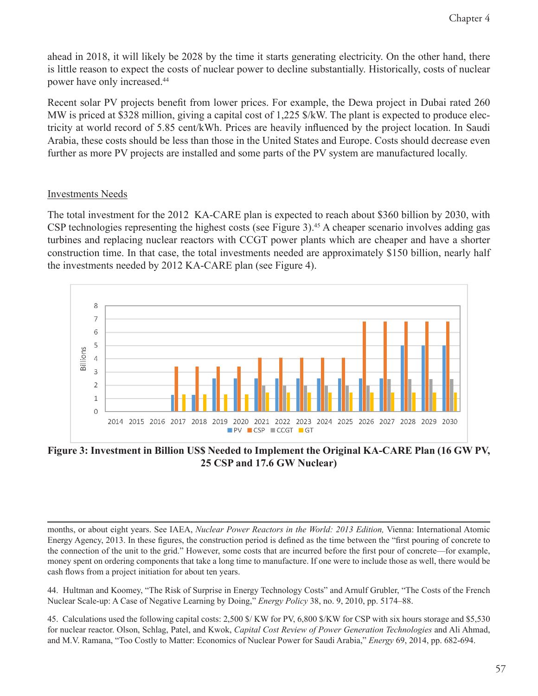ahead in 2018, it will likely be 2028 by the time it starts generating electricity. On the other hand, there is little reason to expect the costs of nuclear power to decline substantially. Historically, costs of nuclear power have only increased.44

Recent solar PV projects benefit from lower prices. For example, the Dewa project in Dubai rated 260 MW is priced at \$328 million, giving a capital cost of 1,225 \$/kW. The plant is expected to produce electricity at world record of 5.85 cent/kWh. Prices are heavily influenced by the project location. In Saudi Arabia, these costs should be less than those in the United States and Europe. Costs should decrease even further as more PV projects are installed and some parts of the PV system are manufactured locally.

### Investments Needs

The total investment for the 2012 KA-CARE plan is expected to reach about \$360 billion by 2030, with CSP technologies representing the highest costs (see Figure 3).<sup>45</sup> A cheaper scenario involves adding gas turbines and replacing nuclear reactors with CCGT power plants which are cheaper and have a shorter construction time. In that case, the total investments needed are approximately \$150 billion, nearly half the investments needed by 2012 KA-CARE plan (see Figure 4).



**Figure 3: Investment in Billion US\$ Needed to Implement the Original KA-CARE Plan (16 GW PV, 25 CSP and 17.6 GW Nuclear)**

months, or about eight years. See IAEA, *Nuclear Power Reactors in the World: 2013 Edition,* Vienna: International Atomic Energy Agency, 2013. In these figures, the construction period is defined as the time between the "first pouring of concrete to the connection of the unit to the grid." However, some costs that are incurred before the first pour of concrete—for example, money spent on ordering components that take a long time to manufacture. If one were to include those as well, there would be cash flows from a project initiation for about ten years.

44. Hultman and Koomey, "The Risk of Surprise in Energy Technology Costs" and Arnulf Grubler, "The Costs of the French Nuclear Scale-up: A Case of Negative Learning by Doing," *Energy Policy* 38, no. 9, 2010, pp. 5174–88.

45. Calculations used the following capital costs: 2,500 \$/ KW for PV, 6,800 \$/KW for CSP with six hours storage and \$5,530 for nuclear reactor. Olson, Schlag, Patel, and Kwok, *Capital Cost Review of Power Generation Technologies* and Ali Ahmad, and M.V. Ramana, "Too Costly to Matter: Economics of Nuclear Power for Saudi Arabia," *Energy* 69, 2014, pp. 682-694.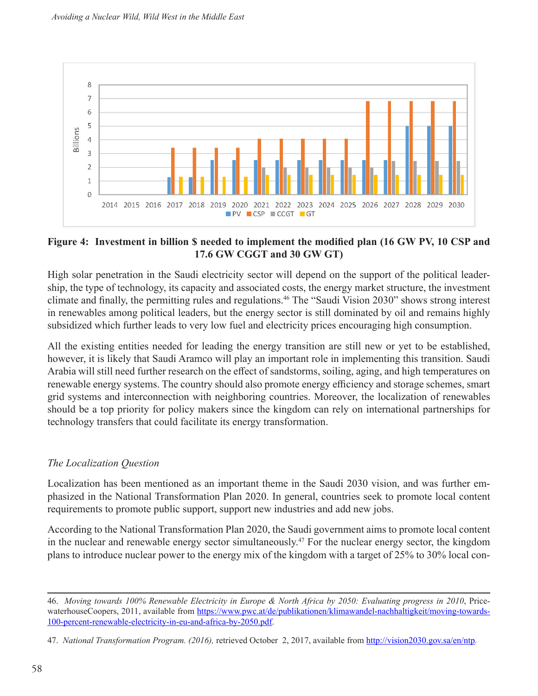

#### **Figure 4: Investment in billion \$ needed to implement the modified plan (16 GW PV, 10 CSP and 17.6 GW CGGT and 30 GW GT)**

High solar penetration in the Saudi electricity sector will depend on the support of the political leadership, the type of technology, its capacity and associated costs, the energy market structure, the investment climate and finally, the permitting rules and regulations.<sup>46</sup> The "Saudi Vision 2030" shows strong interest in renewables among political leaders, but the energy sector is still dominated by oil and remains highly subsidized which further leads to very low fuel and electricity prices encouraging high consumption.

All the existing entities needed for leading the energy transition are still new or yet to be established, however, it is likely that Saudi Aramco will play an important role in implementing this transition. Saudi Arabia will still need further research on the effect of sandstorms, soiling, aging, and high temperatures on renewable energy systems. The country should also promote energy efficiency and storage schemes, smart grid systems and interconnection with neighboring countries. Moreover, the localization of renewables should be a top priority for policy makers since the kingdom can rely on international partnerships for technology transfers that could facilitate its energy transformation.

#### *The Localization Question*

Localization has been mentioned as an important theme in the Saudi 2030 vision, and was further emphasized in the National Transformation Plan 2020. In general, countries seek to promote local content requirements to promote public support, support new industries and add new jobs.

According to the National Transformation Plan 2020, the Saudi government aims to promote local content in the nuclear and renewable energy sector simultaneously.47 For the nuclear energy sector, the kingdom plans to introduce nuclear power to the energy mix of the kingdom with a target of 25% to 30% local con-

<sup>46.</sup> *Moving towards 100% Renewable Electricity in Europe & North Africa by 2050: Evaluating progress in 2010*, PricewaterhouseCoopers, 2011, available from [https://www.pwc.at/de/publikationen/klimawandel-nachhaltigkeit/moving-towards-](https://www.pwc.at/de/publikationen/klimawandel-nachhaltigkeit/moving-towards-100-percent-renewable-electricity-in-eu-and-africa-by-2050.pdf)[100-percent-renewable-electricity-in-eu-and-africa-by-2050.pdf.](https://www.pwc.at/de/publikationen/klimawandel-nachhaltigkeit/moving-towards-100-percent-renewable-electricity-in-eu-and-africa-by-2050.pdf)

<sup>47.</sup> *National Transformation Program. (2016),* retrieved October 2, 2017, available from <http://vision2030.gov.sa/en/ntp>*.*